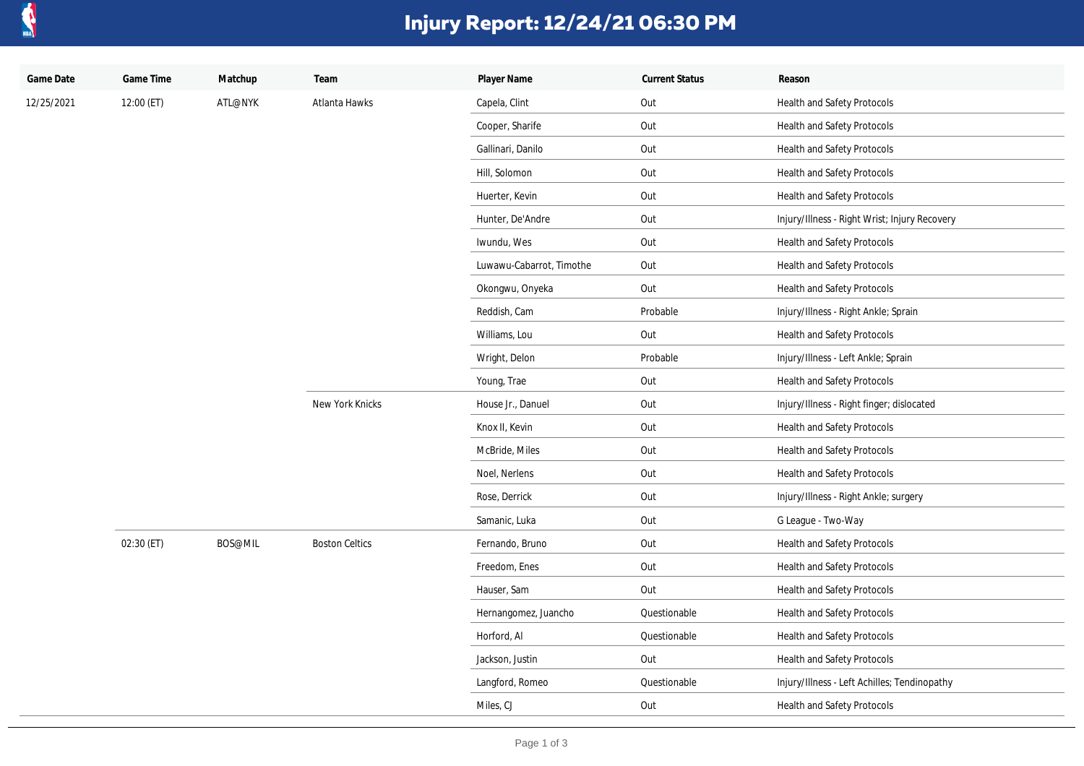

## **Injury Report: 12/24/21 06:30 PM**

| Game Date  | Game Time  | Matchup | Team                  | Player Name              | <b>Current Status</b> | Reason                                        |
|------------|------------|---------|-----------------------|--------------------------|-----------------------|-----------------------------------------------|
| 12/25/2021 | 12:00 (ET) | ATL@NYK | Atlanta Hawks         | Capela, Clint            | Out                   | Health and Safety Protocols                   |
|            |            |         |                       | Cooper, Sharife          | Out                   | Health and Safety Protocols                   |
|            |            |         |                       | Gallinari, Danilo        | Out                   | Health and Safety Protocols                   |
|            |            |         |                       | Hill, Solomon            | Out                   | Health and Safety Protocols                   |
|            |            |         |                       | Huerter, Kevin           | Out                   | Health and Safety Protocols                   |
|            |            |         |                       | Hunter, De'Andre         | Out                   | Injury/Illness - Right Wrist; Injury Recovery |
|            |            |         |                       | Iwundu, Wes              | Out                   | <b>Health and Safety Protocols</b>            |
|            |            |         |                       | Luwawu-Cabarrot, Timothe | Out                   | Health and Safety Protocols                   |
|            |            |         |                       | Okongwu, Onyeka          | Out                   | Health and Safety Protocols                   |
|            |            |         |                       | Reddish, Cam             | Probable              | Injury/Illness - Right Ankle; Sprain          |
|            |            |         |                       | Williams, Lou            | Out                   | Health and Safety Protocols                   |
|            |            |         |                       | Wright, Delon            | Probable              | Injury/Illness - Left Ankle; Sprain           |
|            |            |         |                       | Young, Trae              | Out                   | Health and Safety Protocols                   |
|            |            |         | New York Knicks       | House Jr., Danuel        | Out                   | Injury/Illness - Right finger; dislocated     |
|            |            |         |                       | Knox II, Kevin           | Out                   | <b>Health and Safety Protocols</b>            |
|            |            |         |                       | McBride, Miles           | Out                   | Health and Safety Protocols                   |
|            |            |         |                       | Noel, Nerlens            | Out                   | Health and Safety Protocols                   |
|            |            |         |                       | Rose, Derrick            | Out                   | Injury/Illness - Right Ankle; surgery         |
|            |            |         |                       | Samanic, Luka            | Out                   | G League - Two-Way                            |
|            | 02:30 (ET) | BOS@MIL | <b>Boston Celtics</b> | Fernando, Bruno          | Out                   | Health and Safety Protocols                   |
|            |            |         |                       | Freedom, Enes            | Out                   | Health and Safety Protocols                   |
|            |            |         |                       | Hauser, Sam              | Out                   | Health and Safety Protocols                   |
|            |            |         |                       | Hernangomez, Juancho     | Questionable          | Health and Safety Protocols                   |
|            |            |         |                       | Horford, Al              | Questionable          | Health and Safety Protocols                   |
|            |            |         |                       | Jackson, Justin          | Out                   | Health and Safety Protocols                   |
|            |            |         |                       | Langford, Romeo          | Questionable          | Injury/Illness - Left Achilles; Tendinopathy  |
|            |            |         |                       | Miles, CJ                | Out                   | Health and Safety Protocols                   |
|            |            |         |                       |                          |                       |                                               |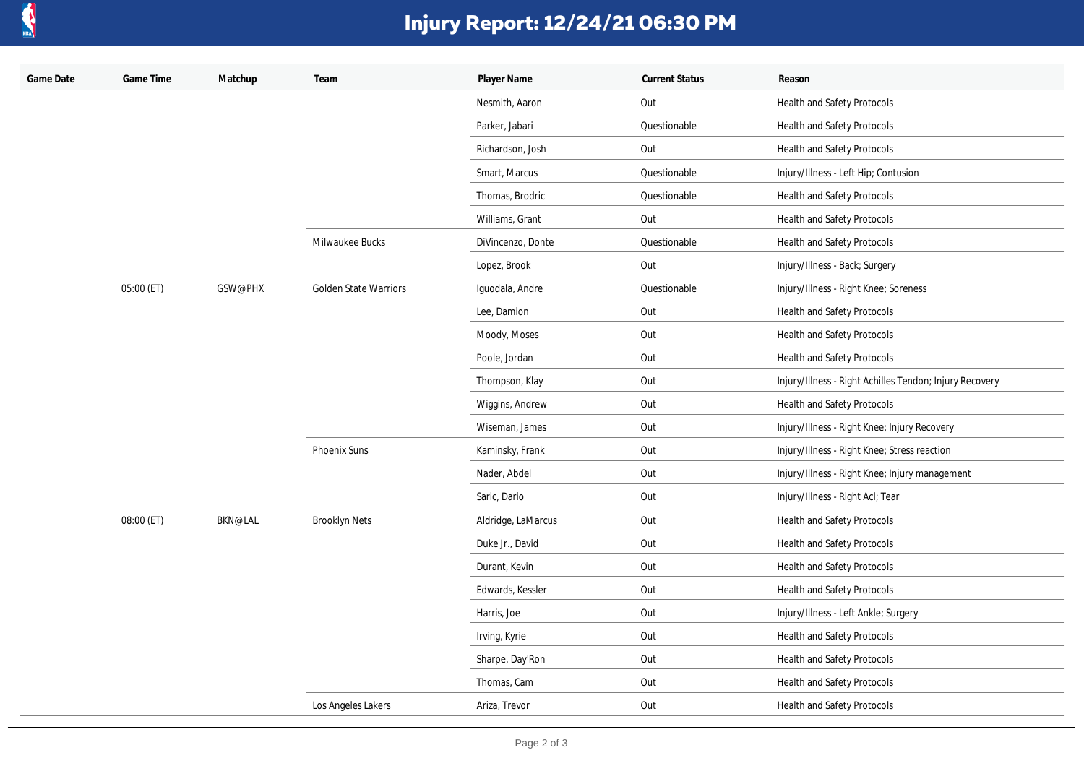

## **Injury Report: 12/24/21 06:30 PM**

| Game Date | Game Time  | Matchup        | Team                         | Player Name        | <b>Current Status</b> | Reason                                                  |
|-----------|------------|----------------|------------------------------|--------------------|-----------------------|---------------------------------------------------------|
|           |            |                |                              | Nesmith, Aaron     | Out                   | Health and Safety Protocols                             |
|           |            |                |                              | Parker, Jabari     | Questionable          | Health and Safety Protocols                             |
|           |            |                |                              | Richardson, Josh   | Out                   | Health and Safety Protocols                             |
|           |            |                |                              | Smart, Marcus      | Questionable          | Injury/Illness - Left Hip; Contusion                    |
|           |            |                |                              | Thomas, Brodric    | Questionable          | Health and Safety Protocols                             |
|           |            |                |                              | Williams, Grant    | Out                   | Health and Safety Protocols                             |
|           |            |                | Milwaukee Bucks              | DiVincenzo, Donte  | Questionable          | Health and Safety Protocols                             |
|           |            |                |                              | Lopez, Brook       | Out                   | Injury/Illness - Back; Surgery                          |
|           | 05:00 (ET) | GSW@PHX        | <b>Golden State Warriors</b> | Iquodala, Andre    | Questionable          | Injury/Illness - Right Knee; Soreness                   |
|           |            |                |                              | Lee, Damion        | Out                   | Health and Safety Protocols                             |
|           |            |                |                              | Moody, Moses       | Out                   | Health and Safety Protocols                             |
|           |            |                |                              | Poole, Jordan      | Out                   | Health and Safety Protocols                             |
|           |            |                |                              | Thompson, Klay     | Out                   | Injury/Illness - Right Achilles Tendon; Injury Recovery |
|           |            |                |                              | Wiggins, Andrew    | Out                   | Health and Safety Protocols                             |
|           |            |                |                              | Wiseman, James     | Out                   | Injury/Illness - Right Knee; Injury Recovery            |
|           |            |                | Phoenix Suns                 | Kaminsky, Frank    | Out                   | Injury/Illness - Right Knee; Stress reaction            |
|           |            |                |                              | Nader, Abdel       | Out                   | Injury/Illness - Right Knee; Injury management          |
|           |            |                |                              | Saric, Dario       | Out                   | Injury/Illness - Right Acl; Tear                        |
|           | 08:00 (ET) | <b>BKN@LAL</b> | <b>Brooklyn Nets</b>         | Aldridge, LaMarcus | Out                   | Health and Safety Protocols                             |
|           |            |                |                              | Duke Jr., David    | Out                   | Health and Safety Protocols                             |
|           |            |                |                              | Durant, Kevin      | Out                   | Health and Safety Protocols                             |
|           |            |                |                              | Edwards, Kessler   | Out                   | Health and Safety Protocols                             |
|           |            |                |                              | Harris, Joe        | Out                   | Injury/Illness - Left Ankle; Surgery                    |
|           |            |                |                              | Irving, Kyrie      | Out                   | Health and Safety Protocols                             |
|           |            |                |                              | Sharpe, Day'Ron    | Out                   | Health and Safety Protocols                             |
|           |            |                |                              | Thomas, Cam        | Out                   | Health and Safety Protocols                             |
|           |            |                | Los Angeles Lakers           | Ariza, Trevor      | Out                   | Health and Safety Protocols                             |
|           |            |                |                              |                    |                       |                                                         |